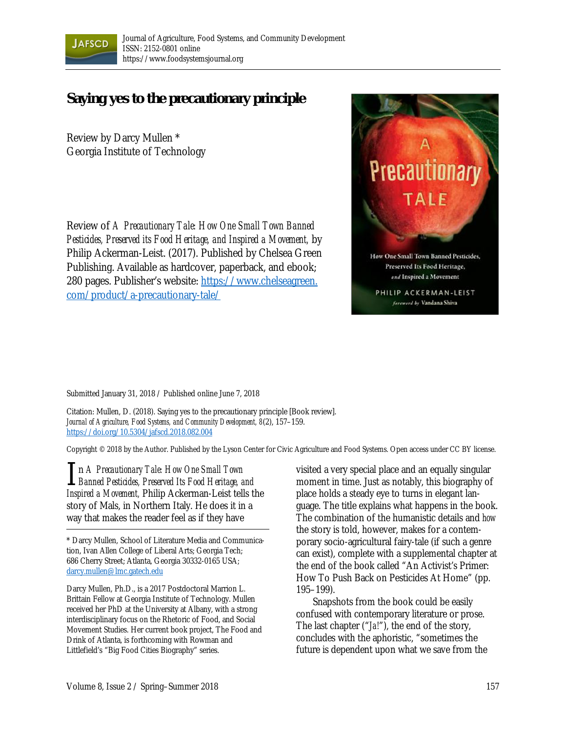

## **Saying yes to the precautionary principle**

Review by Darcy Mullen \* Georgia Institute of Technology

Review of *A Precautionary Tale: How One Small Town Banned Pesticides, Preserved its Food Heritage, and Inspired a Movement,* by Philip Ackerman-Leist. (2017). Published by Chelsea Green Publishing. Available as hardcover, paperback, and ebook; [280 pages. Publisher's website: https://www.chelseagreen.](https://www.chelseagreen.com/product/a-precautionary-tale/)  com/product/a-precautionary-tale/



Submitted January 31, 2018 / Published online June 7, 2018

Citation: Mullen, D. (2018). Saying yes to the precautionary principle [Book review]. *Journal of Agriculture, Food Systems, and Community Development, 8*(2), 157–159. https://doi.org/10.5304/jafscd.2018.082.004

Copyright © 2018 by the Author. Published by the Lyson Center for Civic Agriculture and Food Systems. Open access under CC BY license.

n *A Precautionary Tale: How One Small Town*  **I** in *A Precautionary Tale: How One Small Town*<br>*Banned Pesticides, Preserved Its Food Heritage, and Inspired a Movement,* Philip Ackerman-Leist tells the story of Mals, in Northern Italy. He does it in a way that makes the reader feel as if they have

\* Darcy Mullen, School of Literature Media and Communication, Ivan Allen College of Liberal Arts; Georgia Tech; 686 Cherry Street; Atlanta, Georgia 30332-0165 USA; darcy.mullen@lmc.gatech.edu

Darcy Mullen, Ph.D., is a 2017 Postdoctoral Marrion L. Brittain Fellow at Georgia Institute of Technology. Mullen received her PhD at the University at Albany, with a strong interdisciplinary focus on the Rhetoric of Food, and Social Movement Studies. Her current book project, The Food and Drink of Atlanta, is forthcoming with Rowman and Littlefield's "Big Food Cities Biography" series.

visited a very special place and an equally singular moment in time. Just as notably, this biography of place holds a steady eye to turns in elegant language. The title explains what happens in the book. The combination of the humanistic details and *how* the story is told, however, makes for a contemporary socio-agricultural fairy-tale (if such a genre can exist), complete with a supplemental chapter at the end of the book called "An Activist's Primer: How To Push Back on Pesticides At Home" (pp. 195–199).

 Snapshots from the book could be easily confused with contemporary literature or prose. The last chapter ("*Ja!*"), the end of the story, concludes with the aphoristic, "sometimes the future is dependent upon what we save from the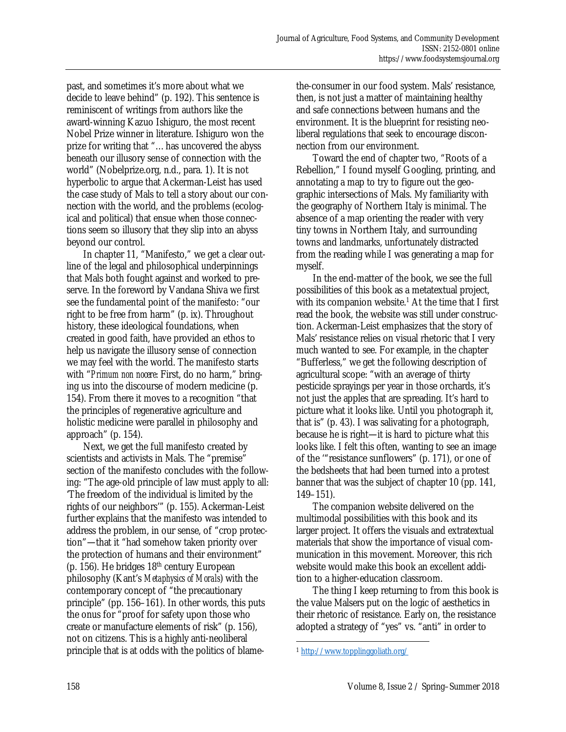past, and sometimes it's more about what we decide to leave behind" (p. 192). This sentence is reminiscent of writings from authors like the award-winning Kazuo Ishiguro, the most recent Nobel Prize winner in literature. Ishiguro won the prize for writing that "…has uncovered the abyss beneath our illusory sense of connection with the world" (Nobelprize.org, n.d., para. 1). It is not hyperbolic to argue that Ackerman-Leist has used the case study of Mals to tell a story about our connection with the world, and the problems (ecological and political) that ensue when those connections seem so illusory that they slip into an abyss beyond our control.

In chapter 11, "Manifesto," we get a clear outline of the legal and philosophical underpinnings that Mals both fought against and worked to preserve. In the foreword by Vandana Shiva we first see the fundamental point of the manifesto: "our right to be free from harm" (p. ix). Throughout history, these ideological foundations, when created in good faith, have provided an ethos to help us navigate the illusory sense of connection we may feel with the world. The manifesto starts with "*Primum non nocere*: First, do no harm," bringing us into the discourse of modern medicine (p. 154). From there it moves to a recognition "that the principles of regenerative agriculture and holistic medicine were parallel in philosophy and approach" (p. 154).

 Next, we get the full manifesto created by scientists and activists in Mals. The "premise" section of the manifesto concludes with the following: "The age-old principle of law must apply to all: 'The freedom of the individual is limited by the rights of our neighbors'" (p. 155). Ackerman-Leist further explains that the manifesto was intended to address the problem, in our sense, of "crop protection"—that it "had somehow taken priority over the protection of humans and their environment" (p. 156). He bridges  $18<sup>th</sup>$  century European philosophy (Kant's *Metaphysics of Morals*) with the contemporary concept of "the precautionary principle" (pp. 156–161). In other words, this puts the onus for "proof for safety upon those who create or manufacture elements of risk" (p. 156), not on citizens. This is a highly anti-neoliberal principle that is at odds with the politics of blamethe-consumer in our food system. Mals' resistance, then, is not just a matter of maintaining healthy and safe connections between humans and the environment. It is the blueprint for resisting neoliberal regulations that seek to encourage disconnection from our environment.

 Toward the end of chapter two, "Roots of a Rebellion," I found myself Googling, printing, and annotating a map to try to figure out the geographic intersections of Mals. My familiarity with the geography of Northern Italy is minimal. The absence of a map orienting the reader with very tiny towns in Northern Italy, and surrounding towns and landmarks, unfortunately distracted from the reading while I was generating a map for myself.

 In the end-matter of the book, we see the full possibilities of this book as a metatextual project, with its companion website.<sup>1</sup> At the time that I first read the book, the website was still under construction. Ackerman-Leist emphasizes that the story of Mals' resistance relies on visual rhetoric that I very much wanted to see. For example, in the chapter "Bufferless," we get the following description of agricultural scope: "with an average of thirty pesticide sprayings per year in those orchards, it's not just the apples that are spreading. It's hard to picture what it looks like. Until you photograph it, that is" (p. 43). I was salivating for a photograph, because he is right—it is hard to picture what *this* looks like. I felt this often, wanting to see an image of the '"resistance sunflowers" (p. 171), or one of the bedsheets that had been turned into a protest banner that was the subject of chapter 10 (pp. 141, 149–151).

 The companion website delivered on the multimodal possibilities with this book and its larger project. It offers the visuals and extratextual materials that show the importance of visual communication in this movement. Moreover, this rich website would make this book an excellent addition to a higher-education classroom.

The thing I keep returning to from this book is the value Malsers put on the logic of aesthetics in their rhetoric of resistance. Early on, the resistance adopted a strategy of "yes" vs. "anti" in order to

 $\overline{\phantom{a}}$ <sup>1</sup> http://www.topplinggoliath.org/